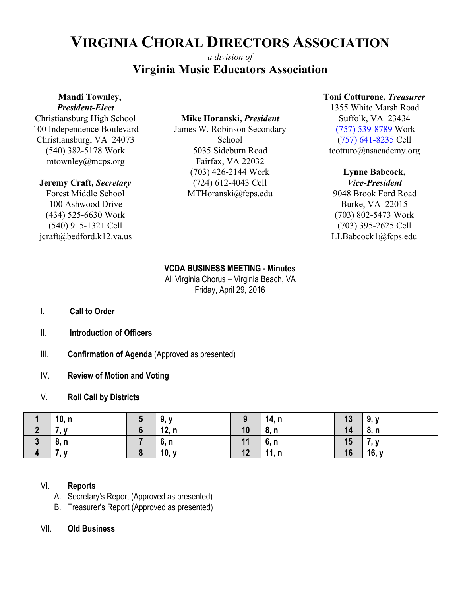# **VIRGINIA CHORAL DIRECTORS ASSOCIATION**

## *a division of* **Virginia Music Educators Association**

## **Mandi Townley,**

*President-Elect* Christiansburg High School 100 Independence Boulevard Christiansburg, VA 24073 (540) 382-5178 Work mtownley@mcps.org

### **Jeremy Craft,** *Secretary*

Forest Middle School 100 Ashwood Drive (434) 525-6630 Work (540) 915-1321 Cell jcraft@bedford.k12.va.us

## **Mike Horanski,** *President*

James W. Robinson Secondary School 5035 Sideburn Road Fairfax, VA 22032 (703) 426-2144 Work (724) 612-4043 Cell MTHoranski@fcps.edu

### **Toni Cotturone,** *Treasurer*

1355 White Marsh Road Suffolk, VA 23434 (757) 539-8789 Work (757) 641-8235 Cell tcotturo@nsacademy.org

### **Lynne Babcock,**

*Vice-President* 9048 Brook Ford Road Burke, VA 22015 (703) 802-5473 Work (703) 395-2625 Cell LLBabcock1@fcps.edu

### **VCDA BUSINESS MEETING - Minutes**

All Virginia Chorus – Virginia Beach, VA Friday, April 29, 2016

- I. **Call to Order**
- II. **Introduction of Officers**
- III. **Confirmation of Agenda** (Approved as presented)
- IV. **Review of Motion and Voting**

## V. **Roll Call by Districts**

|                | 10, n | .9 у  | $\Omega$ | 14, n | 13 | 9, y  |
|----------------|-------|-------|----------|-------|----|-------|
|                |       | 12, n | 10       | 8, n  | 14 | 8, n  |
| $\bullet$<br>ν | 8, n  | 6, n  | 11       | 6, n  | 15 |       |
| $\overline{4}$ | . .   | 10, y | 12       | 11, n | 16 | 16, y |

## VI. **Reports**

- A. Secretary's Report (Approved as presented)
- B. Treasurer's Report (Approved as presented)
- VII. **Old Business**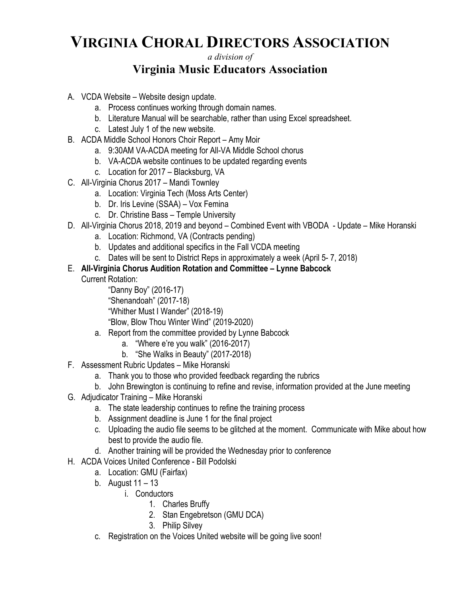# **VIRGINIA CHORAL DIRECTORS ASSOCIATION**

## *a division of* **Virginia Music Educators Association**

- A. VCDA Website Website design update.
	- a. Process continues working through domain names.
	- b. Literature Manual will be searchable, rather than using Excel spreadsheet.
	- c. Latest July 1 of the new website.
- B. ACDA Middle School Honors Choir Report Amy Moir
	- a. 9:30AM VA-ACDA meeting for All-VA Middle School chorus
	- b. VA-ACDA website continues to be updated regarding events
	- c. Location for 2017 Blacksburg, VA
- C. All-Virginia Chorus 2017 Mandi Townley
	- a. Location: Virginia Tech (Moss Arts Center)
	- b. Dr. Iris Levine (SSAA) Vox Femina
	- c. Dr. Christine Bass Temple University
- D. All-Virginia Chorus 2018, 2019 and beyond Combined Event with VBODA Update Mike Horanski
	- a. Location: Richmond, VA (Contracts pending)
	- b. Updates and additional specifics in the Fall VCDA meeting
	- c. Dates will be sent to District Reps in approximately a week (April 5- 7, 2018)
- E. **All-Virginia Chorus Audition Rotation and Committee Lynne Babcock**

Current Rotation:

"Danny Boy" (2016-17) "Shenandoah" (2017-18) "Whither Must I Wander" (2018-19) "Blow, Blow Thou Winter Wind" (2019-2020)

- a. Report from the committee provided by Lynne Babcock
	- a. "Where e're you walk" (2016-2017)
	- b. "She Walks in Beauty" (2017-2018)
- F. Assessment Rubric Updates Mike Horanski
	- a. Thank you to those who provided feedback regarding the rubrics
	- b. John Brewington is continuing to refine and revise, information provided at the June meeting
- G. Adjudicator Training Mike Horanski
	- a. The state leadership continues to refine the training process
	- b. Assignment deadline is June 1 for the final project
	- c. Uploading the audio file seems to be glitched at the moment. Communicate with Mike about how best to provide the audio file.
	- d. Another training will be provided the Wednesday prior to conference
- H. ACDA Voices United Conference Bill Podolski
	- a. Location: GMU (Fairfax)
	- b. August  $11 13$ 
		- i. Conductors
			- 1. Charles Bruffy
			- 2. Stan Engebretson (GMU DCA)
			- 3. Philip Silvey
	- c. Registration on the Voices United website will be going live soon!